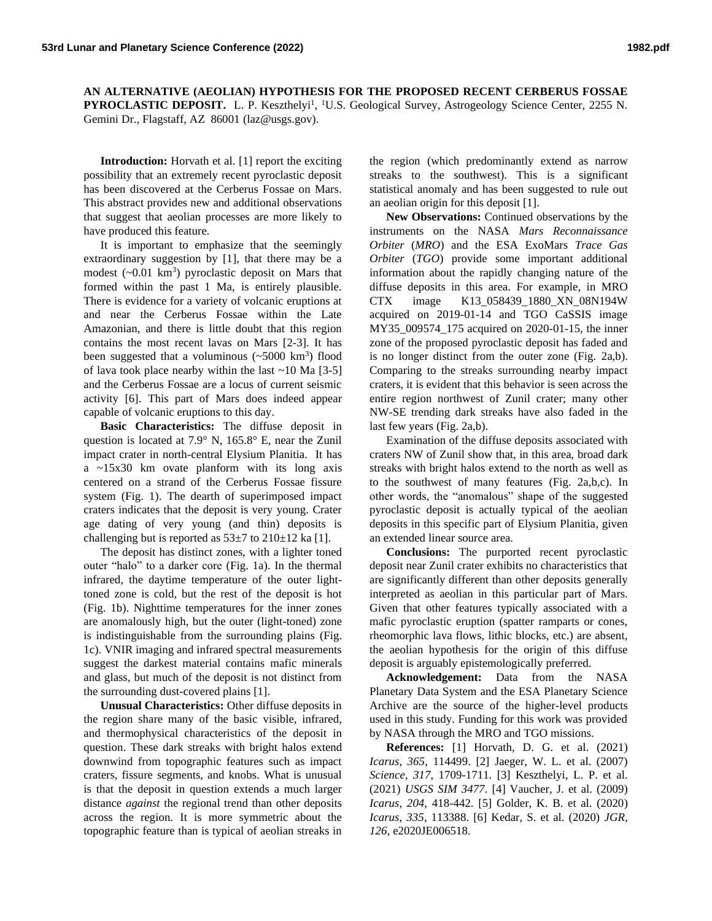**AN ALTERNATIVE (AEOLIAN) HYPOTHESIS FOR THE PROPOSED RECENT CERBERUS FOSSAE PYROCLASTIC DEPOSIT.** L. P. Keszthelyi<sup>1</sup>, <sup>1</sup>U.S. Geological Survey, Astrogeology Science Center, 2255 N. Gemini Dr., Flagstaff, AZ 86001 (laz@usgs.gov).

**Introduction:** Horvath et al. [1] report the exciting possibility that an extremely recent pyroclastic deposit has been discovered at the Cerberus Fossae on Mars. This abstract provides new and additional observations that suggest that aeolian processes are more likely to have produced this feature.

It is important to emphasize that the seemingly extraordinary suggestion by [1], that there may be a modest  $({\sim}0.01 \text{ km}^3)$  pyroclastic deposit on Mars that formed within the past 1 Ma, is entirely plausible. There is evidence for a variety of volcanic eruptions at and near the Cerberus Fossae within the Late Amazonian, and there is little doubt that this region contains the most recent lavas on Mars [2-3]. It has been suggested that a voluminous  $(\sim 5000 \text{ km}^3)$  flood of lava took place nearby within the last ~10 Ma [3-5] and the Cerberus Fossae are a locus of current seismic activity [6]. This part of Mars does indeed appear capable of volcanic eruptions to this day.

**Basic Characteristics:** The diffuse deposit in question is located at 7.9° N, 165.8° E, near the Zunil impact crater in north-central Elysium Planitia. It has a  $\approx$ 15x30 km ovate planform with its long axis centered on a strand of the Cerberus Fossae fissure system (Fig. 1). The dearth of superimposed impact craters indicates that the deposit is very young. Crater age dating of very young (and thin) deposits is challenging but is reported as  $53\pm7$  to  $210\pm12$  ka [1].

The deposit has distinct zones, with a lighter toned outer "halo" to a darker core (Fig. 1a). In the thermal infrared, the daytime temperature of the outer lighttoned zone is cold, but the rest of the deposit is hot (Fig. 1b). Nighttime temperatures for the inner zones are anomalously high, but the outer (light-toned) zone is indistinguishable from the surrounding plains (Fig. 1c). VNIR imaging and infrared spectral measurements suggest the darkest material contains mafic minerals and glass, but much of the deposit is not distinct from the surrounding dust-covered plains [1].

**Unusual Characteristics:** Other diffuse deposits in the region share many of the basic visible, infrared, and thermophysical characteristics of the deposit in question. These dark streaks with bright halos extend downwind from topographic features such as impact craters, fissure segments, and knobs. What is unusual is that the deposit in question extends a much larger distance *against* the regional trend than other deposits across the region. It is more symmetric about the topographic feature than is typical of aeolian streaks in

the region (which predominantly extend as narrow streaks to the southwest). This is a significant statistical anomaly and has been suggested to rule out an aeolian origin for this deposit [1].

**New Observations:** Continued observations by the instruments on the NASA *Mars Reconnaissance Orbiter* (*MRO*) and the ESA ExoMars *Trace Gas Orbiter* (*TGO*) provide some important additional information about the rapidly changing nature of the diffuse deposits in this area. For example, in MRO CTX image K13\_058439\_1880\_XN\_08N194W acquired on 2019-01-14 and TGO CaSSIS image MY35 009574 175 acquired on 2020-01-15, the inner zone of the proposed pyroclastic deposit has faded and is no longer distinct from the outer zone (Fig. 2a,b). Comparing to the streaks surrounding nearby impact craters, it is evident that this behavior is seen across the entire region northwest of Zunil crater; many other NW-SE trending dark streaks have also faded in the last few years (Fig. 2a,b).

Examination of the diffuse deposits associated with craters NW of Zunil show that, in this area, broad dark streaks with bright halos extend to the north as well as to the southwest of many features (Fig. 2a,b,c). In other words, the "anomalous" shape of the suggested pyroclastic deposit is actually typical of the aeolian deposits in this specific part of Elysium Planitia, given an extended linear source area.

**Conclusions:** The purported recent pyroclastic deposit near Zunil crater exhibits no characteristics that are significantly different than other deposits generally interpreted as aeolian in this particular part of Mars. Given that other features typically associated with a mafic pyroclastic eruption (spatter ramparts or cones, rheomorphic lava flows, lithic blocks, etc.) are absent, the aeolian hypothesis for the origin of this diffuse deposit is arguably epistemologically preferred.

**Acknowledgement:** Data from the NASA Planetary Data System and the ESA Planetary Science Archive are the source of the higher-level products used in this study. Funding for this work was provided by NASA through the MRO and TGO missions.

**References:** [1] Horvath, D. G. et al. (2021) *Icarus, 365*, 114499. [2] Jaeger, W. L. et al. (2007) *Science, 317*, 1709-1711. [3] Keszthelyi, L. P. et al. (2021) *USGS SIM 3477*. [4] Vaucher, J. et al. (2009) *Icarus, 204*, 418-442. [5] Golder, K. B. et al. (2020) *Icarus, 335*, 113388. [6] Kedar, S. et al. (2020) *JGR, 126*, e2020JE006518.